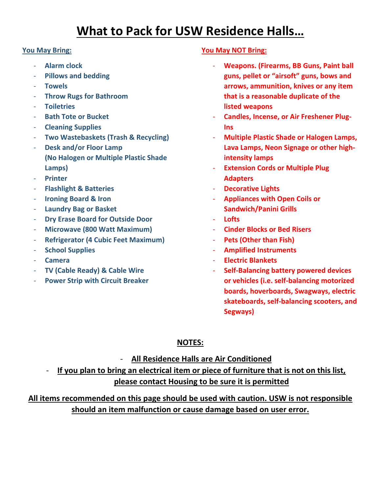# **What to Pack for USW Residence Halls…**

#### **You May Bring:**

- **Alarm clock**
- **Pillows and bedding**
- **Towels**
- **Throw Rugs for Bathroom**
- **Toiletries**
- **Bath Tote or Bucket**
- **Cleaning Supplies**
- **Two Wastebaskets (Trash & Recycling)**
- **Desk and/or Floor Lamp (No Halogen or Multiple Plastic Shade Lamps)**
- **Printer**
- **Flashlight & Batteries**
- **Ironing Board & Iron**
- **Laundry Bag or Basket**
- **Dry Erase Board for Outside Door**
- **Microwave (800 Watt Maximum)**
- **Refrigerator (4 Cubic Feet Maximum)**
- **School Supplies**
- **Camera**
- **TV (Cable Ready) & Cable Wire**
- **Power Strip with Circuit Breaker**

#### **You May NOT Bring:**

- **Weapons. (Firearms, BB Guns, Paint ball guns, pellet or "airsoft" guns, bows and arrows, ammunition, knives or any item that is a reasonable duplicate of the listed weapons**
- **Candles, Incense, or Air Freshener Plug-Ins**
- **Multiple Plastic Shade or Halogen Lamps, Lava Lamps, Neon Signage or other highintensity lamps**
- **Extension Cords or Multiple Plug Adapters**
- **Decorative Lights**
- **Appliances with Open Coils or Sandwich/Panini Grills**
- **Lofts**
- **Cinder Blocks or Bed Risers**
- **Pets (Other than Fish)**
- **Amplified Instruments**
- **Electric Blankets**
- **Self-Balancing battery powered devices or vehicles (i.e. self-balancing motorized boards, hoverboards, Swagways, electric skateboards, self-balancing scooters, and Segways)**

## **NOTES:**

### - **All Residence Halls are Air Conditioned**

- **If you plan to bring an electrical item or piece of furniture that is not on this list, please contact Housing to be sure it is permitted**

## **All items recommended on this page should be used with caution. USW is not responsible should an item malfunction or cause damage based on user error.**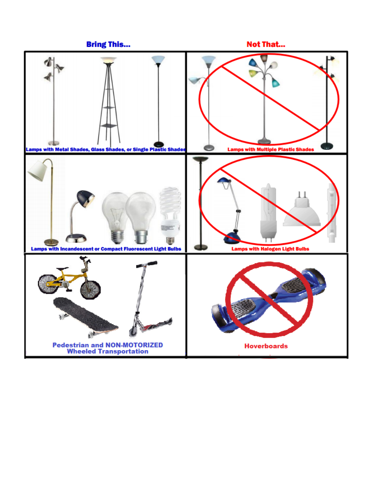**Bring This...** 

**Not That...**